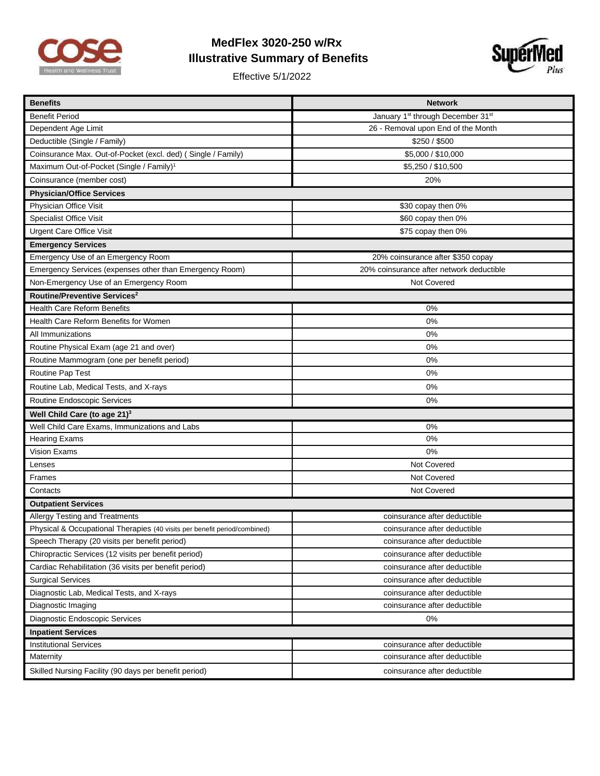

## **MedFlex 3020-250 w/Rx Illustrative Summary of Benefits**

Effective 5/1/2022



| <b>Benefits</b>                                                           | <b>Network</b>                           |
|---------------------------------------------------------------------------|------------------------------------------|
| <b>Benefit Period</b>                                                     | January 1st through December 31st        |
| Dependent Age Limit                                                       | 26 - Removal upon End of the Month       |
| Deductible (Single / Family)                                              | \$250 / \$500                            |
| Coinsurance Max. Out-of-Pocket (excl. ded) (Single / Family)              | \$5,000 / \$10,000                       |
| Maximum Out-of-Pocket (Single / Family) <sup>1</sup>                      | \$5,250 / \$10,500                       |
| Coinsurance (member cost)                                                 | 20%                                      |
| <b>Physician/Office Services</b>                                          |                                          |
| Physician Office Visit                                                    | \$30 copay then 0%                       |
| <b>Specialist Office Visit</b>                                            | \$60 copay then 0%                       |
| <b>Urgent Care Office Visit</b>                                           | \$75 copay then 0%                       |
| <b>Emergency Services</b>                                                 |                                          |
| Emergency Use of an Emergency Room                                        | 20% coinsurance after \$350 copay        |
| Emergency Services (expenses other than Emergency Room)                   | 20% coinsurance after network deductible |
| Non-Emergency Use of an Emergency Room                                    | Not Covered                              |
| Routine/Preventive Services <sup>2</sup>                                  |                                          |
| <b>Health Care Reform Benefits</b>                                        | $0\%$                                    |
| Health Care Reform Benefits for Women                                     | 0%                                       |
| All Immunizations                                                         | 0%                                       |
| Routine Physical Exam (age 21 and over)                                   | $0\%$                                    |
| Routine Mammogram (one per benefit period)                                | 0%                                       |
| Routine Pap Test                                                          | $0\%$                                    |
| Routine Lab, Medical Tests, and X-rays                                    | 0%                                       |
| Routine Endoscopic Services                                               | 0%                                       |
| Well Child Care (to age 21) <sup>3</sup>                                  |                                          |
| Well Child Care Exams, Immunizations and Labs                             | 0%                                       |
| <b>Hearing Exams</b>                                                      | 0%                                       |
| <b>Vision Exams</b>                                                       | 0%                                       |
| Lenses                                                                    | Not Covered                              |
| Frames                                                                    | Not Covered                              |
| Contacts                                                                  | Not Covered                              |
| <b>Outpatient Services</b>                                                |                                          |
| <b>Allergy Testing and Treatments</b>                                     | coinsurance after deductible             |
| Physical & Occupational Therapies (40 visits per benefit period/combined) | coinsurance after deductible             |
| Speech Therapy (20 visits per benefit period)                             | coinsurance after deductible             |
| Chiropractic Services (12 visits per benefit period)                      | coinsurance after deductible             |
| Cardiac Rehabilitation (36 visits per benefit period)                     | coinsurance after deductible             |
| <b>Surgical Services</b>                                                  | coinsurance after deductible             |
| Diagnostic Lab, Medical Tests, and X-rays                                 | coinsurance after deductible             |
| Diagnostic Imaging                                                        | coinsurance after deductible             |
| Diagnostic Endoscopic Services                                            | 0%                                       |
| <b>Inpatient Services</b>                                                 |                                          |
| <b>Institutional Services</b>                                             | coinsurance after deductible             |
| Maternity                                                                 | coinsurance after deductible             |
| Skilled Nursing Facility (90 days per benefit period)                     | coinsurance after deductible             |